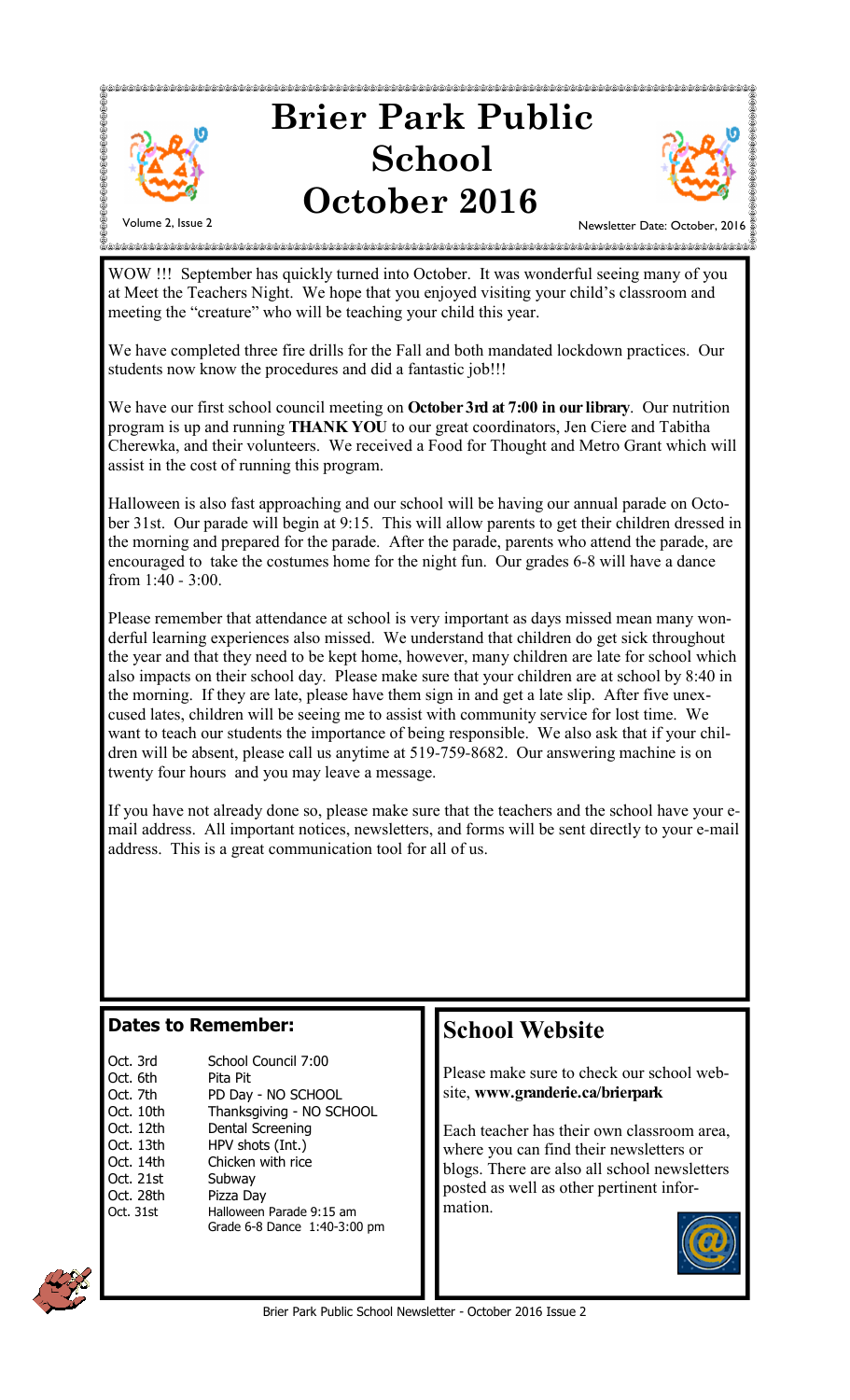

WOW !!! September has quickly turned into October. It was wonderful seeing many of you at Meet the Teachers Night. We hope that you enjoyed visiting your child's classroom and meeting the "creature" who will be teaching your child this year.

We have completed three fire drills for the Fall and both mandated lockdown practices. Our students now know the procedures and did a fantastic job!!!

We have our first school council meeting on **October 3rd at 7:00 in our library**. Our nutrition program is up and running **THANK YOU** to our great coordinators, Jen Ciere and Tabitha Cherewka, and their volunteers. We received a Food for Thought and Metro Grant which will assist in the cost of running this program.

Halloween is also fast approaching and our school will be having our annual parade on October 31st. Our parade will begin at 9:15. This will allow parents to get their children dressed in the morning and prepared for the parade. After the parade, parents who attend the parade, are encouraged to take the costumes home for the night fun. Our grades 6-8 will have a dance from 1:40 - 3:00.

Please remember that attendance at school is very important as days missed mean many wonderful learning experiences also missed. We understand that children do get sick throughout the year and that they need to be kept home, however, many children are late for school which also impacts on their school day. Please make sure that your children are at school by 8:40 in the morning. If they are late, please have them sign in and get a late slip. After five unexcused lates, children will be seeing me to assist with community service for lost time. We want to teach our students the importance of being responsible. We also ask that if your children will be absent, please call us anytime at 519-759-8682. Our answering machine is on twenty four hours and you may leave a message.

If you have not already done so, please make sure that the teachers and the school have your email address. All important notices, newsletters, and forms will be sent directly to your e-mail address. This is a great communication tool for all of us.

#### **Dates to Remember:**

| Oct. 3rd<br>Oct. 6th<br>Oct. 7th<br>Oct. 10th<br>Oct. 12th | School Council 7:00<br>Pita Pit<br>PD Day - NO SCHOOL<br>Thanksgiving - NO SCHOOL<br>Dental Screening |
|------------------------------------------------------------|-------------------------------------------------------------------------------------------------------|
| Oct. 13th                                                  | HPV shots (Int.)                                                                                      |
| Oct. 14th                                                  | Chicken with rice                                                                                     |
| Oct. 21st                                                  | Subway                                                                                                |
| Oct. 28th                                                  | Pizza Day                                                                                             |
| Oct. 31st                                                  | Halloween Parade 9:15 am<br>Grade 6-8 Dance 1:40-3:00 pm                                              |

## **School Website**

Please make sure to check our school website, **www.granderie.ca/brierpark**

Each teacher has their own classroom area, where you can find their newsletters or blogs. There are also all school newsletters posted as well as other pertinent information.



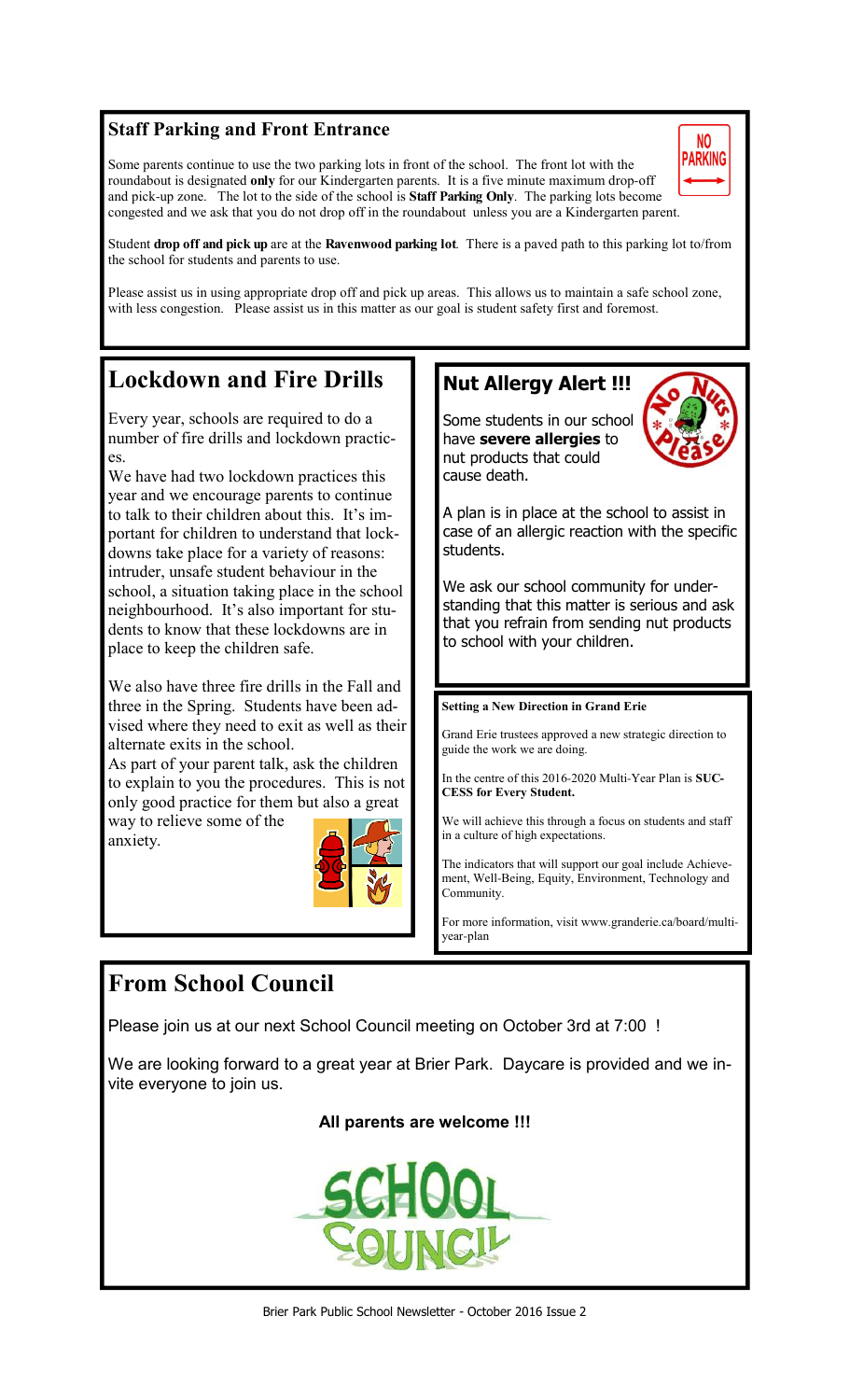## **Staff Parking and Front Entrance**

Some parents continue to use the two parking lots in front of the school. The front lot with the roundabout is designated **only** for our Kindergarten parents. It is a five minute maximum drop-off and pick-up zone. The lot to the side of the school is **Staff Parking Only**. The parking lots become congested and we ask that you do not drop off in the roundabout unless you are a Kindergarten parent.



Student **drop off and pick up** are at the **Ravenwood parking lot**. There is a paved path to this parking lot to/from the school for students and parents to use.

Please assist us in using appropriate drop off and pick up areas. This allows us to maintain a safe school zone, with less congestion. Please assist us in this matter as our goal is student safety first and foremost.

## **Lockdown and Fire Drills**

Every year, schools are required to do a number of fire drills and lockdown practices.

We have had two lockdown practices this year and we encourage parents to continue to talk to their children about this. It's important for children to understand that lockdowns take place for a variety of reasons: intruder, unsafe student behaviour in the school, a situation taking place in the school neighbourhood. It's also important for students to know that these lockdowns are in place to keep the children safe.

We also have three fire drills in the Fall and three in the Spring. Students have been advised where they need to exit as well as their alternate exits in the school.

As part of your parent talk, ask the children to explain to you the procedures. This is not only good practice for them but also a great way to relieve some of the

anxiety.



## **Nut Allergy Alert !!!**

Some students in our school have **severe allergies** to nut products that could cause death.



A plan is in place at the school to assist in case of an allergic reaction with the specific students.

We ask our school community for understanding that this matter is serious and ask that you refrain from sending nut products to school with your children.

#### **Setting a New Direction in Grand Erie**

Grand Erie trustees approved a new strategic direction to guide the work we are doing.

In the centre of this 2016-2020 Multi-Year Plan is **SUC-CESS for Every Student.**

We will achieve this through a focus on students and staff in a culture of high expectations.

The indicators that will support our goal include Achievement, Well-Being, Equity, Environment, Technology and Community.

For more information, visit www.granderie.ca/board/multiyear-plan

## **From School Council**

Please join us at our next School Council meeting on October 3rd at 7:00 !

We are looking forward to a great year at Brier Park. Daycare is provided and we invite everyone to join us.

### **All parents are welcome !!!**

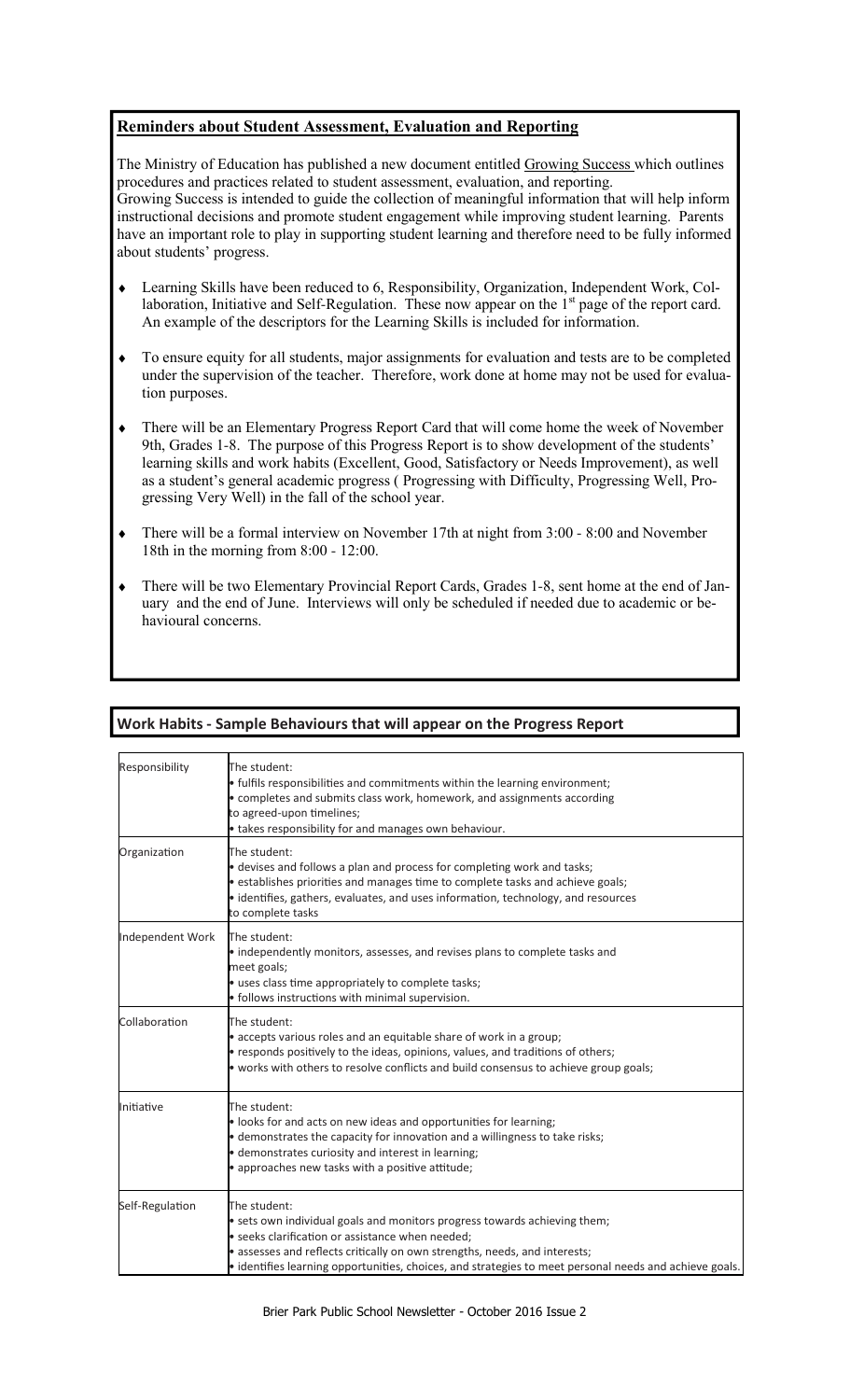#### **Reminders about Student Assessment, Evaluation and Reporting**

The Ministry of Education has published a new document entitled Growing Success which outlines procedures and practices related to student assessment, evaluation, and reporting. Growing Success is intended to guide the collection of meaningful information that will help inform instructional decisions and promote student engagement while improving student learning. Parents have an important role to play in supporting student learning and therefore need to be fully informed about students' progress.

- ♦ Learning Skills have been reduced to 6, Responsibility, Organization, Independent Work, Collaboration, Initiative and Self-Regulation. These now appear on the 1<sup>st</sup> page of the report card. An example of the descriptors for the Learning Skills is included for information.
- To ensure equity for all students, major assignments for evaluation and tests are to be completed under the supervision of the teacher. Therefore, work done at home may not be used for evaluation purposes.
- There will be an Elementary Progress Report Card that will come home the week of November 9th, Grades 1-8. The purpose of this Progress Report is to show development of the students' learning skills and work habits (Excellent, Good, Satisfactory or Needs Improvement), as well as a student's general academic progress ( Progressing with Difficulty, Progressing Well, Progressing Very Well) in the fall of the school year.
- There will be a formal interview on November 17th at night from 3:00 8:00 and November 18th in the morning from 8:00 - 12:00.
- There will be two Elementary Provincial Report Cards, Grades 1-8, sent home at the end of January and the end of June. Interviews will only be scheduled if needed due to academic or behavioural concerns.

#### **Work Habits - Sample Behaviours that will appear on the Progress Report**

| Responsibility   | The student:<br>• fulfils responsibilities and commitments within the learning environment;<br>• completes and submits class work, homework, and assignments according<br>to agreed-upon timelines;<br>• takes responsibility for and manages own behaviour.                                                                          |  |
|------------------|---------------------------------------------------------------------------------------------------------------------------------------------------------------------------------------------------------------------------------------------------------------------------------------------------------------------------------------|--|
| Organization     | The student:<br>• devises and follows a plan and process for completing work and tasks;<br>• establishes priorities and manages time to complete tasks and achieve goals;<br>· identifies, gathers, evaluates, and uses information, technology, and resources<br>to complete tasks                                                   |  |
| Independent Work | The student:<br>• independently monitors, assesses, and revises plans to complete tasks and<br>meet goals;<br>· uses class time appropriately to complete tasks;<br>• follows instructions with minimal supervision.                                                                                                                  |  |
| Collaboration    | The student:<br>• accepts various roles and an equitable share of work in a group;<br>• responds positively to the ideas, opinions, values, and traditions of others;<br>• works with others to resolve conflicts and build consensus to achieve group goals;                                                                         |  |
| Initiative       | The student:<br>. looks for and acts on new ideas and opportunities for learning;<br>• demonstrates the capacity for innovation and a willingness to take risks;<br>· demonstrates curiosity and interest in learning;<br>• approaches new tasks with a positive attitude;                                                            |  |
| Self-Regulation  | The student:<br>• sets own individual goals and monitors progress towards achieving them;<br>· seeks clarification or assistance when needed;<br>• assesses and reflects critically on own strengths, needs, and interests;<br>· identifies learning opportunities, choices, and strategies to meet personal needs and achieve goals. |  |